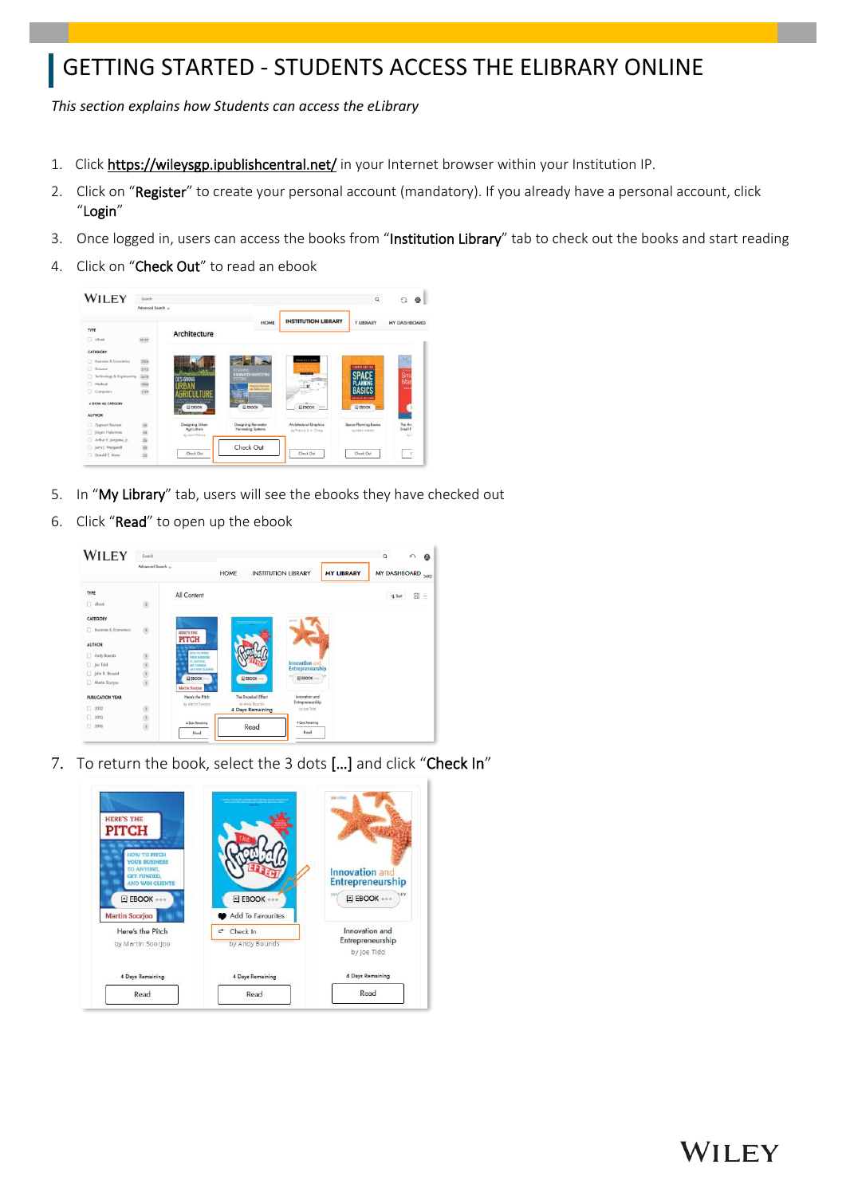# GETTING STARTED - STUDENTS ACCESS THE ELIBRARY ONLINE

*This section explains how Students can access the eLibrary* 

- 1. Click<https://wileysgp.ipublishcentral.net/> in your Internet browser within your Institution IP.
- 2. Click on "Register" to create your personal account (mandatory). If you already have a personal account, click "Login"
- 3. Once logged in, users can access the books from "Institution Library" tab to check out the books and start reading

WILEY

4. Click on "Check Out" to read an ebook



- 5. In "My Library" tab, users will see the ebooks they have checked out
- 6. Click "Read" to open up the ebook



7. To return the book, select the 3 dots […] and click "Check In"

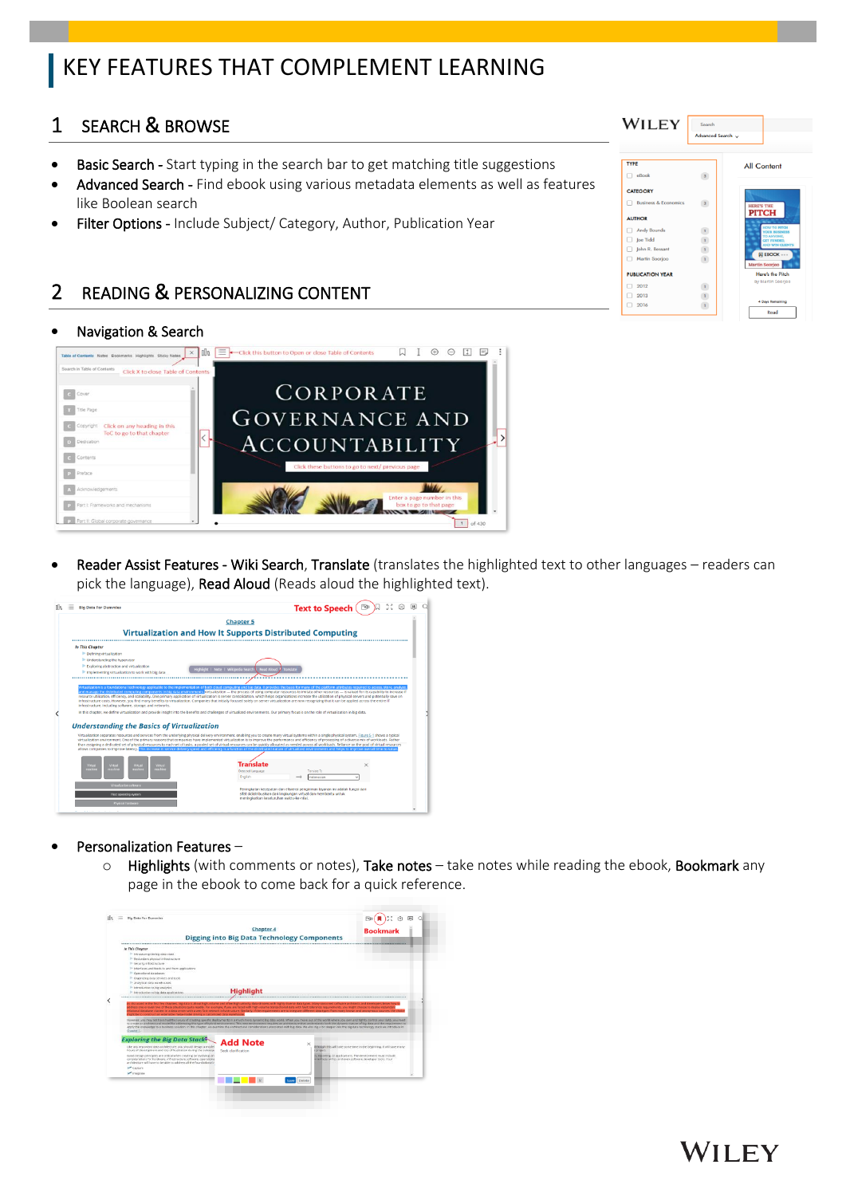# KEY FEATURES THAT COMPLEMENT LEARNING

### 1 SEARCH & BROWSE

- **Basic Search -** Start typing in the search bar to get matching title suggestions
- Advanced Search Find ebook using various metadata elements as well as features like Boolean search
- Filter Options Include Subject/ Category, Author, Publication Year

#### 2 READING & PERSONALIZING CONTENT

#### • Navigation & Search



Reader Assist Features - Wiki Search, Translate (translates the highlighted text to other languages – readers can pick the language), Read Aloud (Reads aloud the highlighted text).

| <b>Big Data For Dummies</b>                                                                                                                                                       | 53<br>Text to Speech (                                                                                                                                                                                                                                                                                                                                                                                                                                                                                                                                                                                                                                                                                                                                                                                                                                                                                                                                                                                                                                            |
|-----------------------------------------------------------------------------------------------------------------------------------------------------------------------------------|-------------------------------------------------------------------------------------------------------------------------------------------------------------------------------------------------------------------------------------------------------------------------------------------------------------------------------------------------------------------------------------------------------------------------------------------------------------------------------------------------------------------------------------------------------------------------------------------------------------------------------------------------------------------------------------------------------------------------------------------------------------------------------------------------------------------------------------------------------------------------------------------------------------------------------------------------------------------------------------------------------------------------------------------------------------------|
|                                                                                                                                                                                   | <b>Chapter 5</b>                                                                                                                                                                                                                                                                                                                                                                                                                                                                                                                                                                                                                                                                                                                                                                                                                                                                                                                                                                                                                                                  |
|                                                                                                                                                                                   | Virtualization and How It Supports Distributed Computing                                                                                                                                                                                                                                                                                                                                                                                                                                                                                                                                                                                                                                                                                                                                                                                                                                                                                                                                                                                                          |
| In This Chapter<br>P- Defining virtualization<br>Inderstanding the hypervisor<br>Exploring abstraction and virtualization<br>In tendementing virtualization to work with big data | Highlight   Note   Wikipedia Search<br>Read Aloud 1 Translate                                                                                                                                                                                                                                                                                                                                                                                                                                                                                                                                                                                                                                                                                                                                                                                                                                                                                                                                                                                                     |
| infrastructure, including software, storage, and networks.                                                                                                                        | Virtualization is a foundational technology applicable to the implementation of both cloud computing and big data. It provides the basis for many of the platform attributes required to access, store, analyze<br>and manage the distributed computing components in big data environments. Wrtualization - the process of using computer resources to imitate other resources - is valued for its capability to increase if<br>resource utilization, efficiency, and scalability. One primary application of virtualization is server consolidation, which helps organizations increase the utilization of physical servers and potentially save on<br>infrastructure costs. However, you find many benefits to virtualization. Companies that initially focused solely on server virtualization are now recognizing that it can be applied across the entire IT<br>In this chapter, we define virtualization and provide insight into the benefits and challenges of virtualized environments. Our primary focus is on the role of virtualization in big data. |
| <b>Understanding the Basics of Virtualization</b>                                                                                                                                 |                                                                                                                                                                                                                                                                                                                                                                                                                                                                                                                                                                                                                                                                                                                                                                                                                                                                                                                                                                                                                                                                   |
|                                                                                                                                                                                   | Virtualization separates resources and services from the underlying physical delivery environment, enabling you to create many virtual systems within a single physical system. Figure 5-1 shows a typical<br>virtualization emironment. One of the primary reasons that companies have implemented virtualization is to improve the performance and efficiency of processing of a diverse mix of workloads. Rather<br>than assigning a dedicated set of physical resources to each set of tasks, a pooled set of virtual resources can be quickly allocated as needed across all workloads. Reliance on the pool of virtual resources<br>allows companies to interove istency. This increase in service delivery speed and efficiency is a function of the distributed nature of virtualized environments and helps to improve overall time to value                                                                                                                                                                                                             |
|                                                                                                                                                                                   |                                                                                                                                                                                                                                                                                                                                                                                                                                                                                                                                                                                                                                                                                                                                                                                                                                                                                                                                                                                                                                                                   |
| Wrtual<br>Virtual<br>Virtual<br>Virtual<br>machine<br><b>cachine</b><br>machine<br>machine                                                                                        | <b>Translate</b><br><b>Detected Language</b><br>Translate To<br>English<br>Indonesian                                                                                                                                                                                                                                                                                                                                                                                                                                                                                                                                                                                                                                                                                                                                                                                                                                                                                                                                                                             |
| <b>Virtualization software</b><br><b>Host operating system</b>                                                                                                                    | Peningkatan kecepatan dan efisiensi pengiriman layanan ini adalah fungsi dari<br>sifat didistribusikan dari lingkungan virtual dan membantu untuk                                                                                                                                                                                                                                                                                                                                                                                                                                                                                                                                                                                                                                                                                                                                                                                                                                                                                                                 |

- Personalization Features
	- $\circ$  Highlights (with comments or notes), Take notes take notes while reading the ebook, Bookmark any page in the ebook to come back for a quick reference.



| <b>TYPE</b>                     |                         | All Content                                                |
|---------------------------------|-------------------------|------------------------------------------------------------|
| eBook                           |                         |                                                            |
| <b>CATEGORY</b>                 |                         |                                                            |
| <b>Business &amp; Economics</b> | $\overline{\mathbf{3}}$ | <b>HERE'S THE</b>                                          |
| <b>AUTHOR</b>                   |                         | <b>PITCH</b>                                               |
| <b>Andy Bounds</b>              |                         | <b>HOW TO PITCH</b><br><b><i>VOUR RUSINESS</i></b>         |
| <b>Joe Tidd</b>                 |                         | TO ANYONE,<br><b>GET FUNDED.</b><br><b>AND WIN CLIENTS</b> |
| John R. Bessant                 | $\mathbf{1}$            | E EBOOK ---                                                |
| Martin Soorjoo                  | $\mathbf{1}$            | <b>Martin Soorjoo</b>                                      |
| <b>PUBLICATION YEAR</b>         |                         | Here's the Pitch                                           |
| 2012                            |                         | by Martin Soorjoo                                          |
| 2013                            |                         |                                                            |
| 2016                            |                         | 4 Days Remaining                                           |

**WILEY**